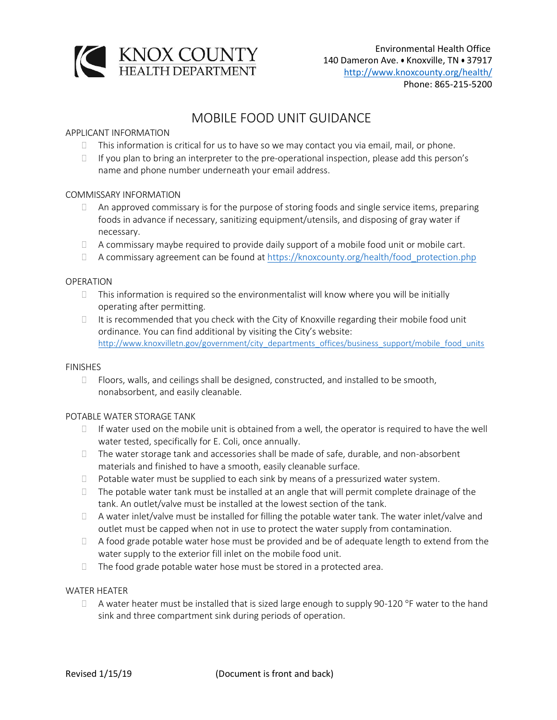

# MOBILE FOOD UNIT GUIDANCE

# APPLICANT INFORMATION

- $\Box$  This information is critical for us to have so we may contact you via email, mail, or phone.
- $\Box$  If you plan to bring an interpreter to the pre-operational inspection, please add this person's name and phone number underneath your email address.

## COMMISSARY INFORMATION

- $\Box$  An approved commissary is for the purpose of storing foods and single service items, preparing foods in advance if necessary, sanitizing equipment/utensils, and disposing of gray water if necessary.
- $\Box$  A commissary maybe required to provide daily support of a mobile food unit or mobile cart.
- A commissary agreement can be found at [https://knoxcounty.org/health/food\\_protection.php](https://knoxcounty.org/health/food_protection.php)

## OPERATION

- $\Box$  This information is required so the environmentalist will know where you will be initially operating after permitting.
- $\Box$  It is recommended that you check with the City of Knoxville regarding their mobile food unit ordinance. You can find additional by visiting the City's website: [http://www.knoxvilletn.gov/government/city\\_departments\\_offices/business\\_support/mobile\\_food\\_units](http://www.knoxvilletn.gov/government/city_departments_offices/business_support/mobile_food_units)

#### FINISHES

 $\Box$  Floors, walls, and ceilings shall be designed, constructed, and installed to be smooth, nonabsorbent, and easily cleanable.

## POTABLE WATER STORAGE TANK

- $\Box$  If water used on the mobile unit is obtained from a well, the operator is required to have the well water tested, specifically for E. Coli, once annually.
- $\Box$  The water storage tank and accessories shall be made of safe, durable, and non-absorbent materials and finished to have a smooth, easily cleanable surface.
- $\Box$  Potable water must be supplied to each sink by means of a pressurized water system.
- $\Box$  The potable water tank must be installed at an angle that will permit complete drainage of the tank. An outlet/valve must be installed at the lowest section of the tank.
- $\Box$  A water inlet/valve must be installed for filling the potable water tank. The water inlet/valve and outlet must be capped when not in use to protect the water supply from contamination.
- $\Box$  A food grade potable water hose must be provided and be of adequate length to extend from the water supply to the exterior fill inlet on the mobile food unit.
- $\Box$  The food grade potable water hose must be stored in a protected area.

## WATER HEATER

 $\Box$  A water heater must be installed that is sized large enough to supply 90-120 °F water to the hand sink and three compartment sink during periods of operation.